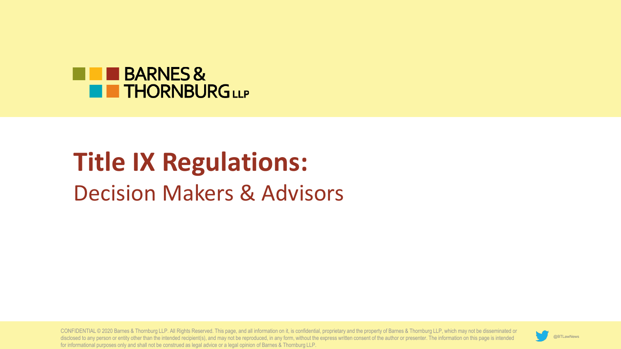

# **Title IX Regulations:**  Decision Makers & Advisors

CONFIDENTIAL © 2020 Barnes & Thornburg LLP. All Rights Reserved. This page, and all information on it, is confidential, proprietary and the property of Barnes & Thornburg LLP, which may not be disseminated or disclosed to any person or entity other than the intended recipient(s), and may not be reproduced, in any form, without the express written consent of the author or presenter. The information on this page is intended for informational purposes only and shall not be construed as legal advice or a legal opinion of Barnes & Thornburg LLP.

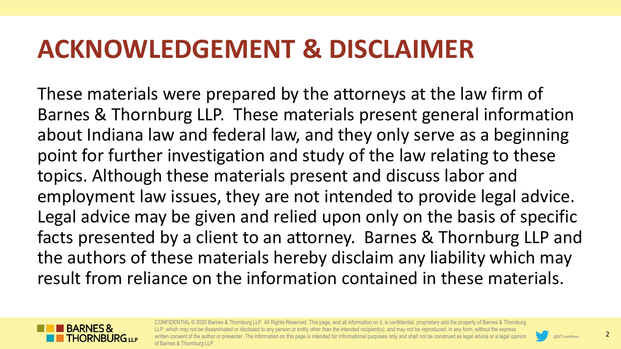## **ACKNOWLEDGEMENT & DISCLAIMER**

These materials were prepared by the attorneys at the law firm of Barnes & Thornburg LLP. These materials present general information about Indiana law and federal law, and they only serve as a beginning point for further investigation and study of the law relating to these topics. Although these materials present and discuss labor and employment law issues, they are not intended to provide legal advice. Legal advice may be given and relied upon only on the basis of specific facts presented by a client to an attorney. Barnes & Thornburg LLP and the authors of these materials hereby disclaim any liability which may result from reliance on the information contained in these materials.



CONFIDENTIAL © 2020 Barnes & Thornburg LLP. All Rights Reserved. This page, and all information on it, is confidential, proprietary and the property of Barnes & Thornburg LLP, which may not be disseminated or disclosed to any person or entity other than the intended recipient(s), and may not be reproduced, in any form, without the express isent of the author or presenter. The information on this page is intended for informational purposes only and shall not be construed as legal advice or a legal opinior of Barnes & Thornburg LLP.

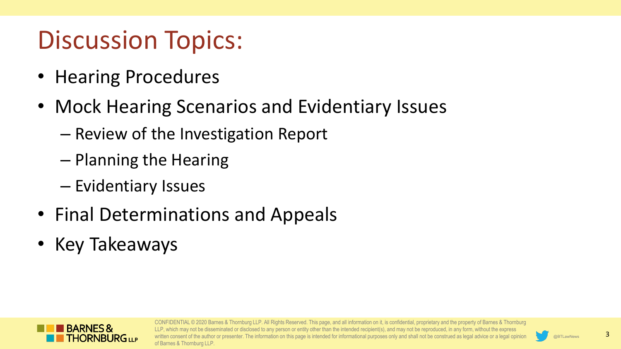## Discussion Topics:

- Hearing Procedures
- Mock Hearing Scenarios and Evidentiary Issues
	- Review of the Investigation Report
	- Planning the Hearing
	- Evidentiary Issues
- Final Determinations and Appeals
- Key Takeaways



CONFIDENTIAL © 2020 Barnes & Thornburg LLP. All Rights Reserved. This page, and all information on it, is confidential, proprietary and the property of Barnes & Thornburg hich may not be disseminated or disclosed to any person or entity other than the intended recipient(s), and may not be reproduced, in any form, without the express sent of the author or presenter. The information on this page is intended for informational purposes only and shall not be construed as legal advice or a legal opinior of Barnes & Thornburg LLP.

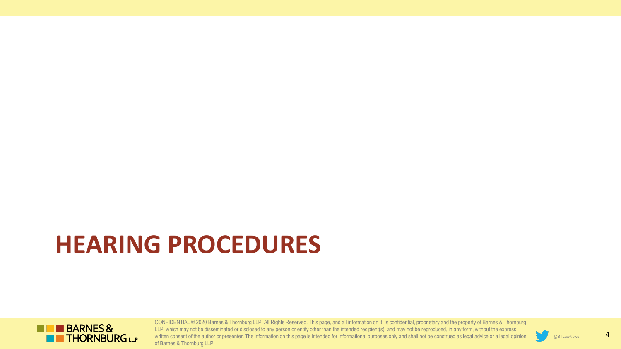# **HEARING PROCEDURES**



CONFIDENTIAL © 2020 Barnes & Thornburg LLP. All Rights Reserved. This page, and all information on it, is confidential, proprietary and the property of Barnes & Thornburg LLP, which may not be disseminated or disclosed to any person or entity other than the intended recipient(s), and may not be reproduced, in any form, without the express written consent of the author or presenter. The information on this page is intended for informational purposes only and shall not be construed as legal advice or a legal opinion of Barnes & Thornburg LLP.

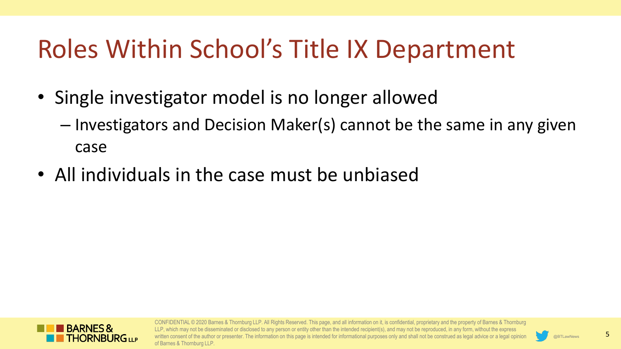# Roles Within School's Title IX Department

- Single investigator model is no longer allowed
	- Investigators and Decision Maker(s) cannot be the same in any given case
- All individuals in the case must be unbiased



CONFIDENTIAL © 2020 Barnes & Thornburg LLP. All Rights Reserved. This page, and all information on it, is confidential, proprietary and the property of Barnes & Thornburg LLP, which may not be disseminated or disclosed to any person or entity other than the intended recipient(s), and may not be reproduced, in any form, without the express onsent of the author or presenter. The information on this page is intended for informational purposes only and shall not be construed as legal advice or a legal opinior of Barnes & Thornburg LLP.

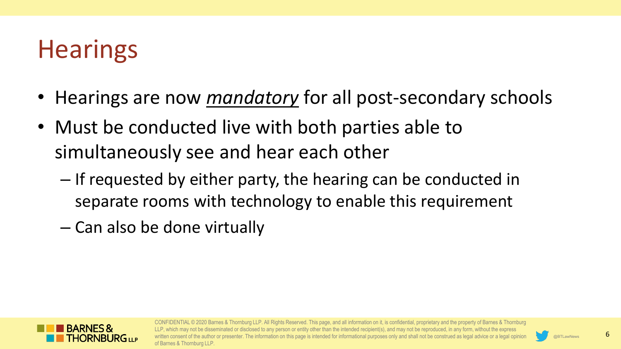# **Hearings**

- Hearings are now *mandatory* for all post-secondary schools
- Must be conducted live with both parties able to simultaneously see and hear each other
	- If requested by either party, the hearing can be conducted in separate rooms with technology to enable this requirement
	- Can also be done virtually



CONFIDENTIAL © 2020 Barnes & Thornburg LLP. All Rights Reserved. This page, and all information on it, is confidential, proprietary and the property of Barnes & Thornburg hich may not be disseminated or disclosed to any person or entity other than the intended recipient(s), and may not be reproduced, in any form, without the express sent of the author or presenter. The information on this page is intended for informational purposes only and shall not be construed as legal advice or a legal opinior of Barnes & Thornburg LLP.

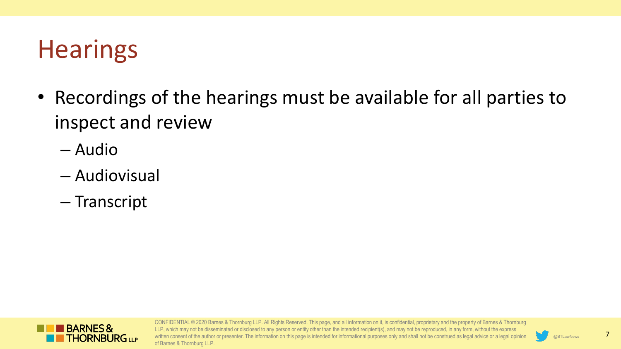# **Hearings**

- Recordings of the hearings must be available for all parties to inspect and review
	- Audio
	- Audiovisual
	- Transcript



CONFIDENTIAL © 2020 Barnes & Thornburg LLP. All Rights Reserved. This page, and all information on it, is confidential, proprietary and the property of Barnes & Thornburg LLP, which may not be disseminated or disclosed to any person or entity other than the intended recipient(s), and may not be reproduced, in any form, without the express written consent of the author or presenter. The information on this page is intended for informational purposes only and shall not be construed as legal advice or a legal opinion of Barnes & Thornburg LLP.

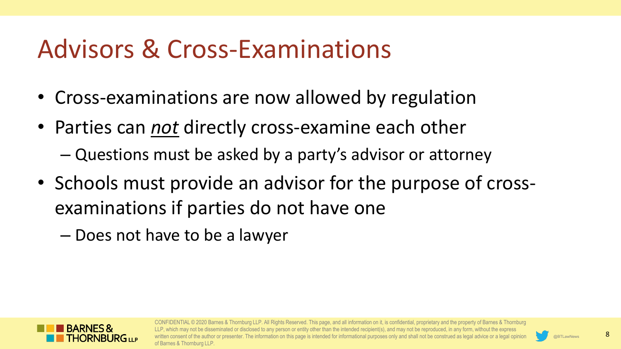## Advisors & Cross-Examinations

- Cross-examinations are now allowed by regulation
- Parties can *not* directly cross-examine each other – Questions must be asked by a party's advisor or attorney
- Schools must provide an advisor for the purpose of crossexaminations if parties do not have one
	- Does not have to be a lawyer



CONFIDENTIAL © 2020 Barnes & Thornburg LLP. All Rights Reserved. This page, and all information on it, is confidential, proprietary and the property of Barnes & Thornburg may not be disseminated or disclosed to any person or entity other than the intended recipient(s), and may not be reproduced, in any form, without the express sent of the author or presenter. The information on this page is intended for informational purposes only and shall not be construed as legal advice or a legal opinior of Barnes & Thornburg LLP.

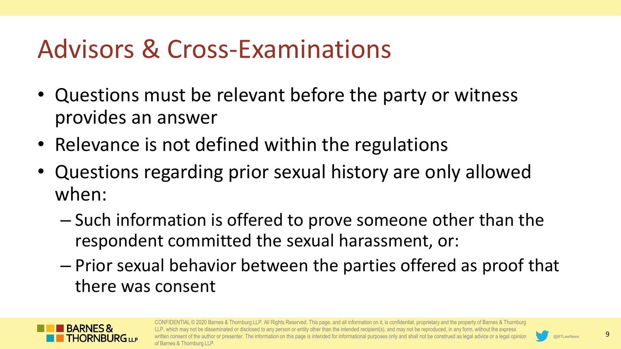## Advisors & Cross-Examinations

- Questions must be relevant before the party or witness provides an answer
- Relevance is not defined within the regulations
- Questions regarding prior sexual history are only allowed when:
	- Such information is offered to prove someone other than the respondent committed the sexual harassment, or:
	- Prior sexual behavior between the parties offered as proof that there was consent



CONFIDENTIAL © 2020 Barnes & Thornburg LLP. All Rights Reserved. This page, and all information on it, is confidential, proprietary and the property of Barnes & Thornburg hich may not be disseminated or disclosed to any person or entity other than the intended recipient(s), and may not be reproduced, in any form, without the express sent of the author or presenter. The information on this page is intended for informational purposes only and shall not be construed as legal advice or a legal opinior of Barnes & Thornburg LLP.

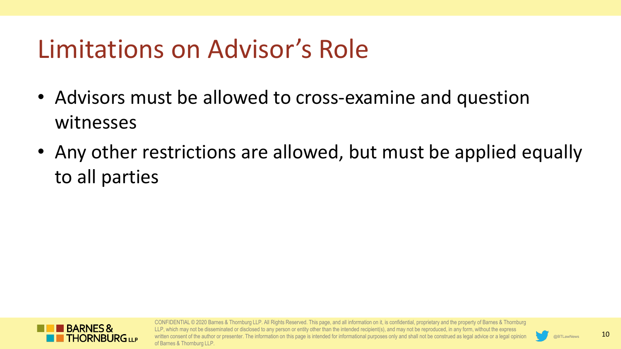## Limitations on Advisor's Role

- Advisors must be allowed to cross-examine and question witnesses
- Any other restrictions are allowed, but must be applied equally to all parties



CONFIDENTIAL © 2020 Barnes & Thornburg LLP. All Rights Reserved. This page, and all information on it, is confidential, proprietary and the property of Barnes & Thornburg LLP, which may not be disseminated or disclosed to any person or entity other than the intended recipient(s), and may not be reproduced, in any form, without the express consent of the author or presenter. The information on this page is intended for informational purposes only and shall not be construed as legal advice or a legal opinior of Barnes & Thornburg LLP.

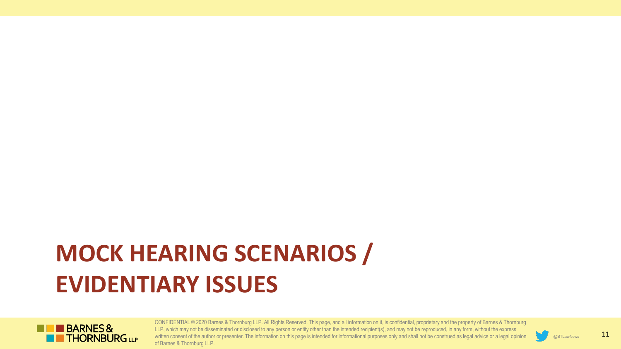# **MOCK HEARING SCENARIOS / EVIDENTIARY ISSUES**



CONFIDENTIAL © 2020 Barnes & Thornburg LLP. All Rights Reserved. This page, and all information on it, is confidential, proprietary and the property of Barnes & Thornburg LLP, which may not be disseminated or disclosed to any person or entity other than the intended recipient(s), and may not be reproduced, in any form, without the express written consent of the author or presenter. The information on this page is intended for informational purposes only and shall not be construed as legal advice or a legal opinion of Barnes & Thornburg LLP.

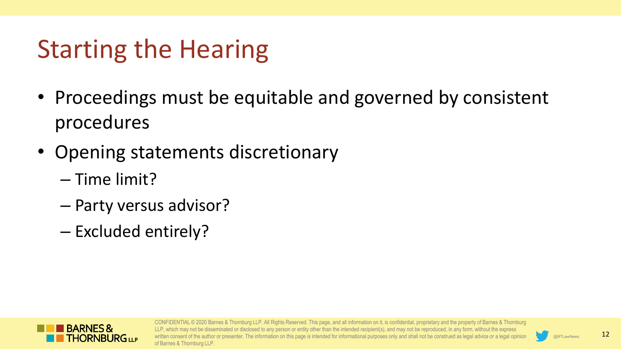# Starting the Hearing

- Proceedings must be equitable and governed by consistent procedures
- Opening statements discretionary
	- Time limit?
	- Party versus advisor?
	- Excluded entirely?



CONFIDENTIAL © 2020 Barnes & Thornburg LLP. All Rights Reserved. This page, and all information on it, is confidential, proprietary and the property of Barnes & Thornburg LLP, which may not be disseminated or disclosed to any person or entity other than the intended recipient(s), and may not be reproduced, in any form, without the express consent of the author or presenter. The information on this page is intended for informational purposes only and shall not be construed as legal advice or a legal opinion of Barnes & Thornburg LLP.

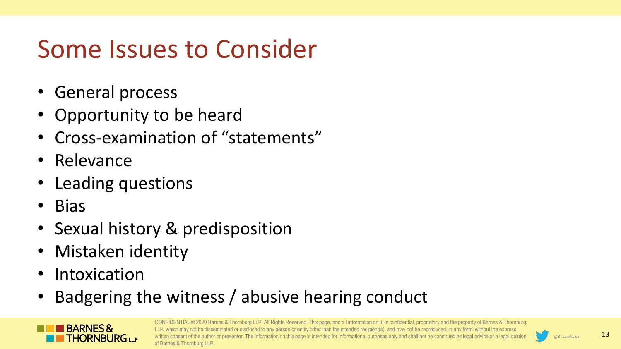# Some Issues to Consider

- General process
- Opportunity to be heard
- Cross-examination of "statements"
- Relevance
- Leading questions
- Bias
- Sexual history & predisposition
- Mistaken identity
- Intoxication
- Badgering the witness / abusive hearing conduct



CONFIDENTIAL © 2020 Barnes & Thornburg LLP. All Rights Reserved. This page, and all information on it, is confidential, proprietary and the property of Barnes & Thornburg LLP, which may not be disseminated or disclosed to any person or entity other than the intended recipient(s), and may not be reproduced, in any form, without the express onsent of the author or presenter. The information on this page is intended for informational purposes only and shall not be construed as legal advice or a legal opinior of Barnes & Thornburg LLP.

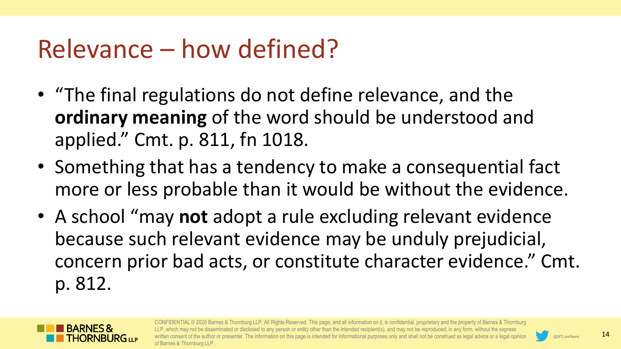## Relevance – how defined?

- "The final regulations do not define relevance, and the **ordinary meaning** of the word should be understood and applied." Cmt. p. 811, fn 1018.
- Something that has a tendency to make a consequential fact more or less probable than it would be without the evidence.
- A school "may **not** adopt a rule excluding relevant evidence because such relevant evidence may be unduly prejudicial, concern prior bad acts, or constitute character evidence." Cmt. p. 812.



CONFIDENTIAL © 2020 Barnes & Thornburg LLP. All Rights Reserved. This page, and all information on it, is confidential, proprietary and the property of Barnes & Thornburg LLP, which may not be disseminated or disclosed to any person or entity other than the intended recipient(s), and may not be reproduced, in any form, without the express sent of the author or presenter. The information on this page is intended for informational purposes only and shall not be construed as legal advice or a legal opinion of Barnes & Thornburg LLP.

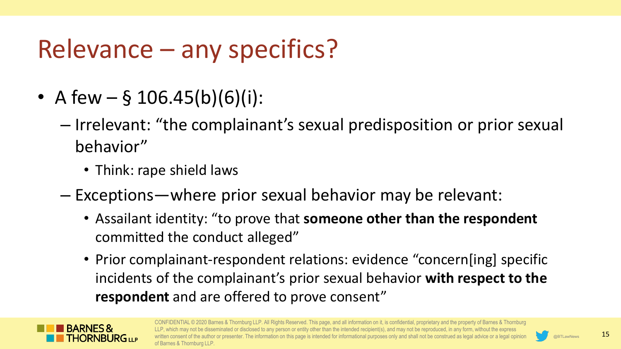# Relevance – any specifics?

- A few  $-$  § 106.45(b)(6)(i):
	- Irrelevant: "the complainant's sexual predisposition or prior sexual behavior"
		- Think: rape shield laws
	- Exceptions—where prior sexual behavior may be relevant:
		- Assailant identity: "to prove that **someone other than the respondent**  committed the conduct alleged"
		- Prior complainant-respondent relations: evidence "concern[ing] specific incidents of the complainant's prior sexual behavior **with respect to the respondent** and are offered to prove consent"



CONFIDENTIAL © 2020 Barnes & Thornburg LLP. All Rights Reserved. This page, and all information on it, is confidential, proprietary and the property of Barnes & Thornburg LLP, which may not be disseminated or disclosed to any person or entity other than the intended recipient(s), and may not be reproduced, in any form, without the express isent of the author or presenter. The information on this page is intended for informational purposes only and shall not be construed as legal advice or a legal opinion of Barnes & Thornburg LLP.

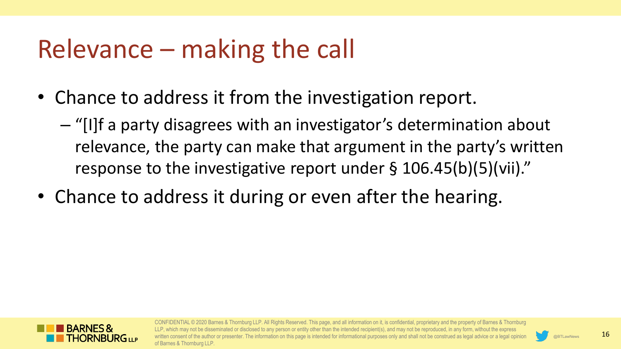## Relevance – making the call

- Chance to address it from the investigation report.
	- "[I]f a party disagrees with an investigator's determination about relevance, the party can make that argument in the party's written response to the investigative report under § 106.45(b)(5)(vii)."
- Chance to address it during or even after the hearing.



CONFIDENTIAL © 2020 Barnes & Thornburg LLP. All Rights Reserved. This page, and all information on it, is confidential, proprietary and the property of Barnes & Thornburg hich may not be disseminated or disclosed to any person or entity other than the intended recipient(s), and may not be reproduced, in any form, without the express sent of the author or presenter. The information on this page is intended for informational purposes only and shall not be construed as legal advice or a legal opinior of Barnes & Thornburg LLP.

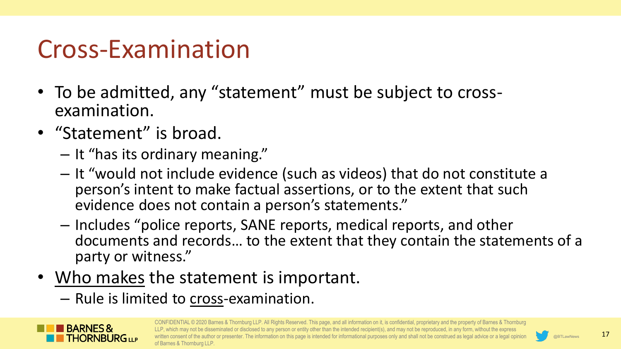### Cross-Examination

- To be admitted, any "statement" must be subject to cross- examination.
- "Statement" is broad.
	- It "has its ordinary meaning."
	- It "would not include evidence (such as videos) that do not constitute a person's intent to make factual assertions, or to the extent that such evidence does not contain a person's statements."
	- Includes "police reports, SANE reports, medical reports, and other documents and records… to the extent that they contain the statements of a party or witness."
- Who makes the statement is important.
	- Rule is limited to cross-examination.



CONFIDENTIAL © 2020 Barnes & Thornburg LLP. All Rights Reserved. This page, and all information on it, is confidential, proprietary and the property of Barnes & Thornburg LLP, which may not be disseminated or disclosed to any person or entity other than the intended recipient(s), and may not be reproduced, in any form, without the express isent of the author or presenter. The information on this page is intended for informational purposes only and shall not be construed as legal advice or a legal opinior of Barnes & Thornburg LLP.

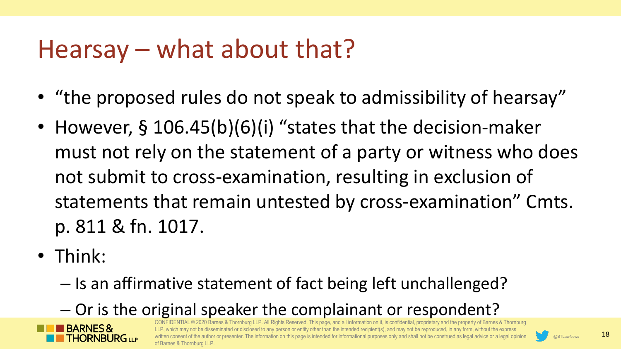### Hearsay – what about that?

- "the proposed rules do not speak to admissibility of hearsay"
- However, § 106.45(b)(6)(i) "states that the decision-maker must not rely on the statement of a party or witness who does not submit to cross-examination, resulting in exclusion of statements that remain untested by cross-examination" Cmts. p. 811 & fn. 1017.
- Think:
	- Is an affirmative statement of fact being left unchallenged?
	- Or is the original speaker the complainant or respondent?



burg LLP. All Rights Reserved. This page, and all information on it, is confidential, proprietary and the property of Barnes & Thornburg lay not be disseminated or disclosed to any person or entity other than the intended recipient(s), and may not be reproduced, in any form, without the express ent of the author or presenter. The information on this page is intended for informational purposes only and shall not be construed as legal advice or a legal opinior of Barnes & Thornburg LLP.

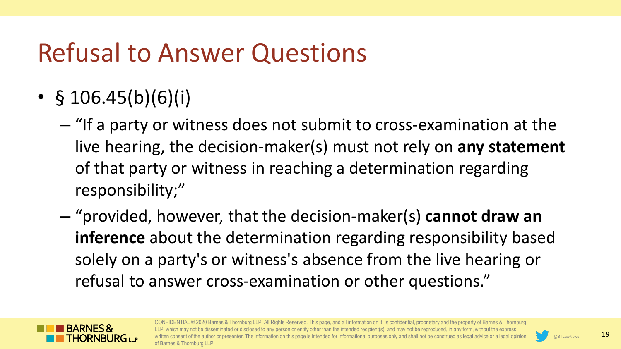# Refusal to Answer Questions

- $$ 106.45(b)(6)(i)$ 
	- "If a party or witness does not submit to cross-examination at the live hearing, the decision-maker(s) must not rely on **any statement**  of that party or witness in reaching a determination regarding responsibility;"
	- "provided, however, that the decision-maker(s) **cannot draw an inference** about the determination regarding responsibility based solely on a party's or witness's absence from the live hearing or refusal to answer cross-examination or other questions."



CONFIDENTIAL © 2020 Barnes & Thornburg LLP. All Rights Reserved. This page, and all information on it, is confidential, proprietary and the property of Barnes & Thornburg hich may not be disseminated or disclosed to any person or entity other than the intended recipient(s), and may not be reproduced, in any form, without the express sent of the author or presenter. The information on this page is intended for informational purposes only and shall not be construed as legal advice or a legal opinior of Barnes & Thornburg LLP.

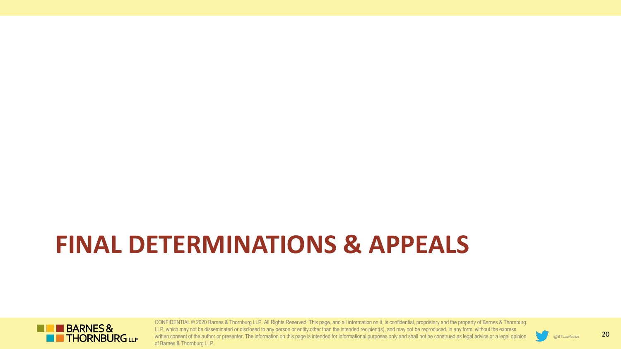# **FINAL DETERMINATIONS & APPEALS**



CONFIDENTIAL © 2020 Barnes & Thornburg LLP. All Rights Reserved. This page, and all information on it, is confidential, proprietary and the property of Barnes & Thornburg LLP, which may not be disseminated or disclosed to any person or entity other than the intended recipient(s), and may not be reproduced, in any form, without the express written consent of the author or presenter. The information on this page is intended for informational purposes only and shall not be construed as legal advice or a legal opinion of Barnes & Thornburg LLP.

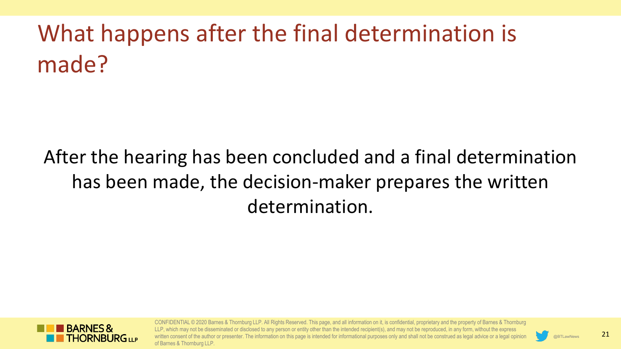# What happens after the final determination is made?

#### After the hearing has been concluded and a final determination has been made, the decision-maker prepares the written determination.



CONFIDENTIAL © 2020 Barnes & Thornburg LLP. All Rights Reserved. This page, and all information on it, is confidential, proprietary and the property of Barnes & Thornburg LLP, which may not be disseminated or disclosed to any person or entity other than the intended recipient(s), and may not be reproduced, in any form, without the express onsent of the author or presenter. The information on this page is intended for informational purposes only and shall not be construed as legal advice or a legal opinion of Barnes & Thornburg LLP.

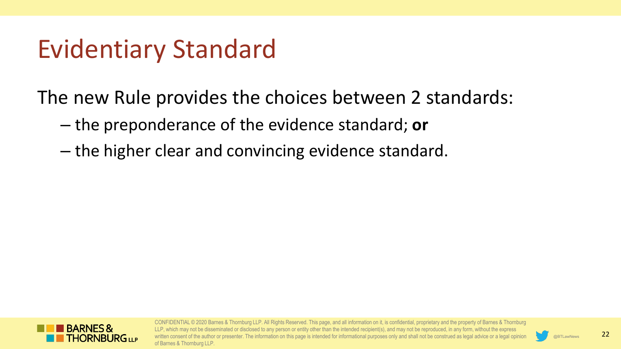### Evidentiary Standard

The new Rule provides the choices between 2 standards:

- the preponderance of the evidence standard; **or**
- the higher clear and convincing evidence standard.



CONFIDENTIAL © 2020 Barnes & Thornburg LLP. All Rights Reserved. This page, and all information on it, is confidential, proprietary and the property of Barnes & Thornburg LLP, which may not be disseminated or disclosed to any person or entity other than the intended recipient(s), and may not be reproduced, in any form, without the express consent of the author or presenter. The information on this page is intended for informational purposes only and shall not be construed as legal advice or a legal opinior of Barnes & Thornburg LLP.

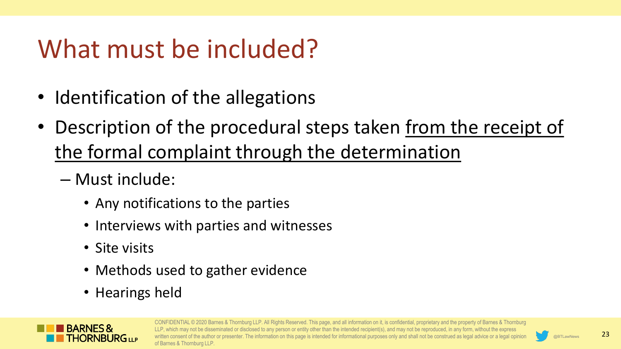# What must be included?

- Identification of the allegations
- Description of the procedural steps taken from the receipt of the formal complaint through the determination
	- Must include:
		- Any notifications to the parties
		- Interviews with parties and witnesses
		- Site visits
		- Methods used to gather evidence
		- Hearings held



CONFIDENTIAL © 2020 Barnes & Thornburg LLP. All Rights Reserved. This page, and all information on it, is confidential, proprietary and the property of Barnes & Thornburg hich may not be disseminated or disclosed to any person or entity other than the intended recipient(s), and may not be reproduced, in any form, without the express isent of the author or presenter. The information on this page is intended for informational purposes only and shall not be construed as legal advice or a legal opinior of Barnes & Thornburg LLP.

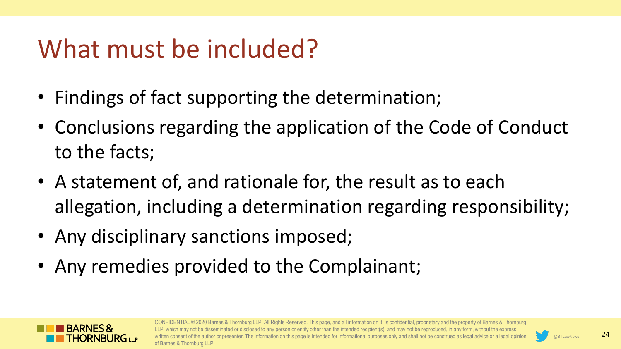## What must be included?

- Findings of fact supporting the determination;
- Conclusions regarding the application of the Code of Conduct to the facts;
- A statement of, and rationale for, the result as to each allegation, including a determination regarding responsibility;
- Any disciplinary sanctions imposed;
- Any remedies provided to the Complainant;



CONFIDENTIAL © 2020 Barnes & Thornburg LLP. All Rights Reserved. This page, and all information on it, is confidential, proprietary and the property of Barnes & Thornburg may not be disseminated or disclosed to any person or entity other than the intended recipient(s), and may not be reproduced, in any form, without the express ent of the author or presenter. The information on this page is intended for informational purposes only and shall not be construed as legal advice or a legal opinior of Barnes & Thornburg LLP.

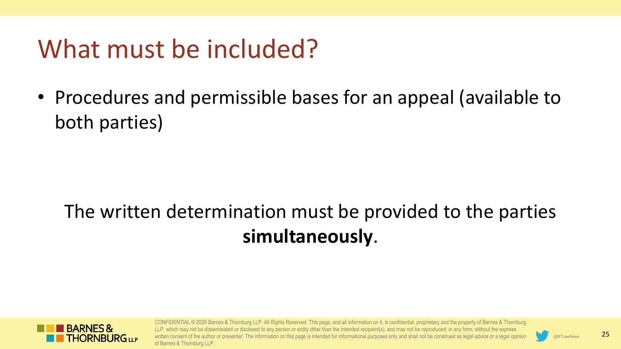## What must be included?

• Procedures and permissible bases for an appeal (available to both parties)

#### The written determination must be provided to the parties **simultaneously**.



CONFIDENTIAL © 2020 Barnes & Thornburg LLP. All Rights Reserved. This page, and all information on it, is confidential, proprietary and the property of Barnes & Thornburg LLP, which may not be disseminated or disclosed to any person or entity other than the intended recipient(s), and may not be reproduced, in any form, without the express onsent of the author or presenter. The information on this page is intended for informational purposes only and shall not be construed as legal advice or a legal opinior of Barnes & Thornburg LLP.

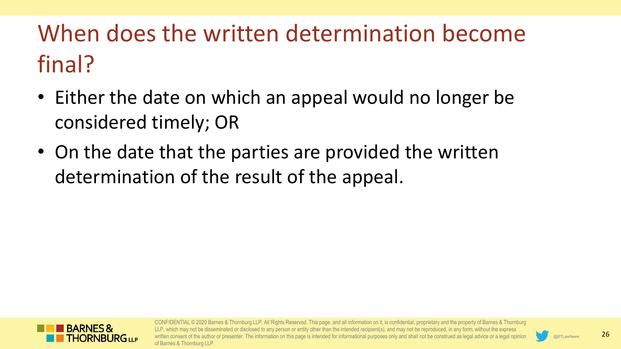## When does the written determination become final?

- Either the date on which an appeal would no longer be considered timely; OR
- On the date that the parties are provided the written determination of the result of the appeal.



CONFIDENTIAL © 2020 Barnes & Thornburg LLP. All Rights Reserved. This page, and all information on it, is confidential, proprietary and the property of Barnes & Thornburg hich may not be disseminated or disclosed to any person or entity other than the intended recipient(s), and may not be reproduced, in any form, without the express isent of the author or presenter. The information on this page is intended for informational purposes only and shall not be construed as legal advice or a legal opinior of Barnes & Thornburg LLP.

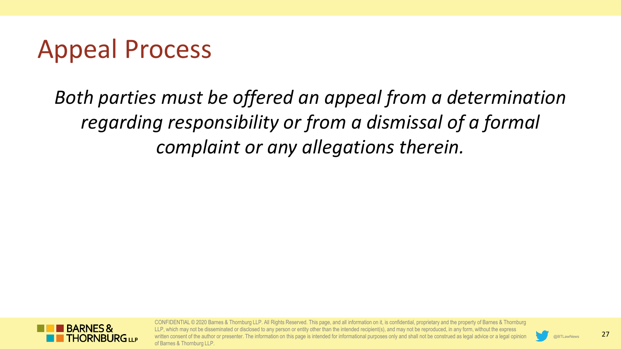## Appeal Process

*Both parties must be offered an appeal from a determination regarding responsibility or from a dismissal of a formal complaint or any allegations therein.* 



CONFIDENTIAL © 2020 Barnes & Thornburg LLP. All Rights Reserved. This page, and all information on it, is confidential, proprietary and the property of Barnes & Thornburg LLP, which may not be disseminated or disclosed to any person or entity other than the intended recipient(s), and may not be reproduced, in any form, without the express written consent of the author or presenter. The information on this page is intended for informational purposes only and shall not be construed as legal advice or a legal opinion of Barnes & Thornburg LLP.

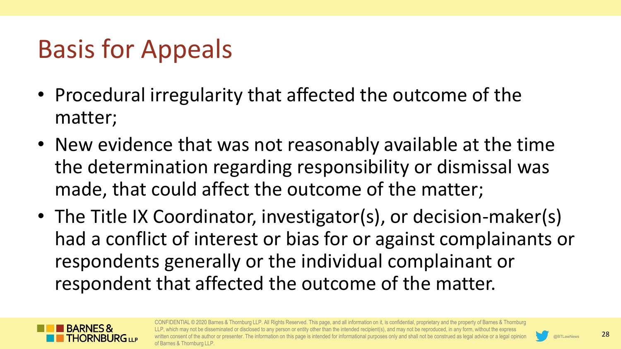# Basis for Appeals

- Procedural irregularity that affected the outcome of the matter;
- New evidence that was not reasonably available at the time the determination regarding responsibility or dismissal was made, that could affect the outcome of the matter;
- The Title IX Coordinator, investigator(s), or decision-maker(s) had a conflict of interest or bias for or against complainants or respondents generally or the individual complainant or respondent that affected the outcome of the matter.



CONFIDENTIAL © 2020 Barnes & Thornburg LLP. All Rights Reserved. This page, and all information on it, is confidential, proprietary and the property of Barnes & Thornburg LLP, which may not be disseminated or disclosed to any person or entity other than the intended recipient(s), and may not be reproduced, in any form, without the express isent of the author or presenter. The information on this page is intended for informational purposes only and shall not be construed as legal advice or a legal opinior of Barnes & Thornburg LLP.

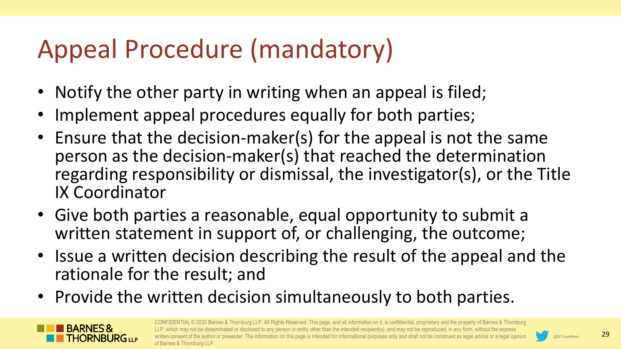# Appeal Procedure (mandatory)

- Notify the other party in writing when an appeal is filed;
- Implement appeal procedures equally for both parties;
- Ensure that the decision-maker(s) for the appeal is not the same person as the decision-maker(s) that reached the determination regarding responsibility or dismissal, the investigator(s), or the Title IX Coordinator
- Give both parties a reasonable, equal opportunity to submit a written statement in support of, or challenging, the outcome;
- Issue a written decision describing the result of the appeal and the rationale for the result; and
- Provide the written decision simultaneously to both parties.



CONFIDENTIAL © 2020 Barnes & Thornburg LLP. All Rights Reserved. This page, and all information on it, is confidential, proprietary and the property of Barnes & Thornburg LLP, which may not be disseminated or disclosed to any person or entity other than the intended recipient(s), and may not be reproduced, in any form, without the express nsent of the author or presenter. The information on this page is intended for informational purposes only and shall not be construed as legal advice or a legal opinior of Barnes & Thornburg LLP.